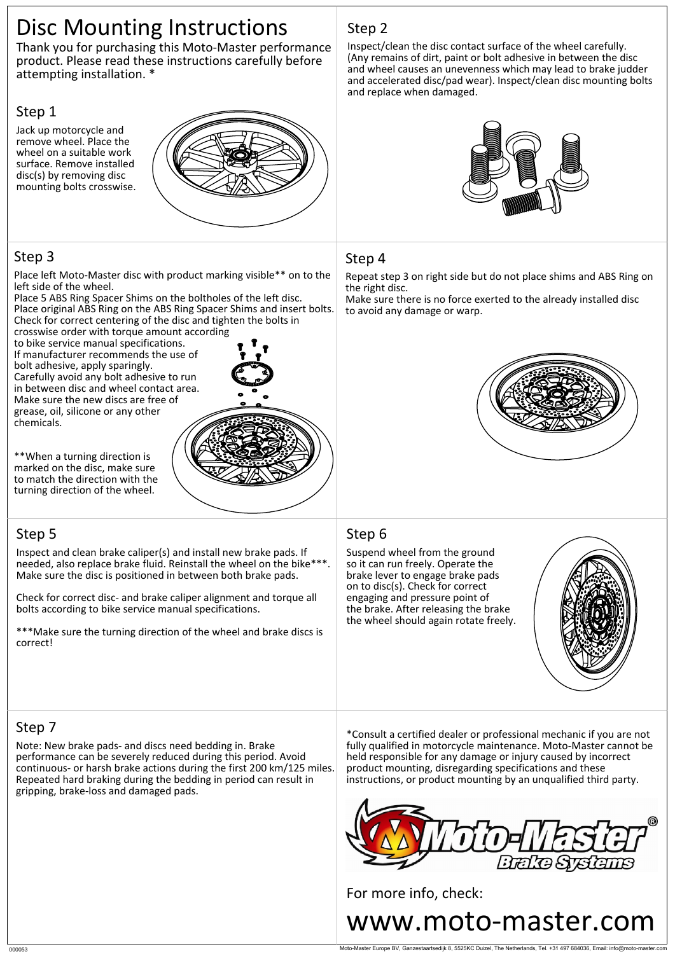# Disc Mounting Instructions

Thank you for purchasing this Moto-Master performance product. Please read these instructions carefully before attempting installation. \*

#### Step 1

Jack up motorcycle and remove wheel. Place the wheel on a suitable work surface. Remove installed disc(s) by removing disc mounting bolts crosswise.



### Step 3

Place left Moto-Master disc with product marking visible\*\* on to the left side of the wheel.

Place 5 ABS Ring Spacer Shims on the boltholes of the left disc. Place original ABS Ring on the ABS Ring Spacer Shims and insert bolts. Check for correct centering of the disc and tighten the bolts in

crosswise order with torque amount according to bike service manual specifications. If manufacturer recommends the use of bolt adhesive, apply sparingly. Carefully avoid any bolt adhesive to run in between disc and wheel contact area. Make sure the new discs are free of grease, oil, silicone or any other chemicals.



\*\*When a turning direction is marked on the disc, make sure to match the direction with the turning direction of the wheel.

## Step 5

Inspect and clean brake caliper(s) and install new brake pads. If needed, also replace brake fluid. Reinstall the wheel on the bike\*\*\*. Make sure the disc is positioned in between both brake pads.

Check for correct disc- and brake caliper alignment and torque all bolts according to bike service manual specifications.

\*\*\*Make sure the turning direction of the wheel and brake discs is correct!

## Step 2

Inspect/clean the disc contact surface of the wheel carefully. (Any remains of dirt, paint or bolt adhesive in between the disc and wheel causes an unevenness which may lead to brake judder and accelerated disc/pad wear). Inspect/clean disc mounting bolts and replace when damaged.



#### Step 4

Repeat step 3 on right side but do not place shims and ABS Ring on the right disc.

Make sure there is no force exerted to the already installed disc to avoid any damage or warp.



#### Step 6

Suspend wheel from the ground so it can run freely. Operate the brake lever to engage brake pads on to disc(s). Check for correct engaging and pressure point of the brake. After releasing the brake the wheel should again rotate freely.



## Step 7

Note: New brake pads- and discs need bedding in. Brake performance can be severely reduced during this period. Avoid continuous- or harsh brake actions during the first 200 km/125 miles. Repeated hard braking during the bedding in period can result in gripping, brake-loss and damaged pads.

\*Consult a certified dealer or professional mechanic if you are not fully qualified in motorcycle maintenance. Moto-Master cannot be held responsible for any damage or injury caused by incorrect product mounting, disregarding specifications and these instructions, or product mounting by an unqualified third party.



For more info, check: